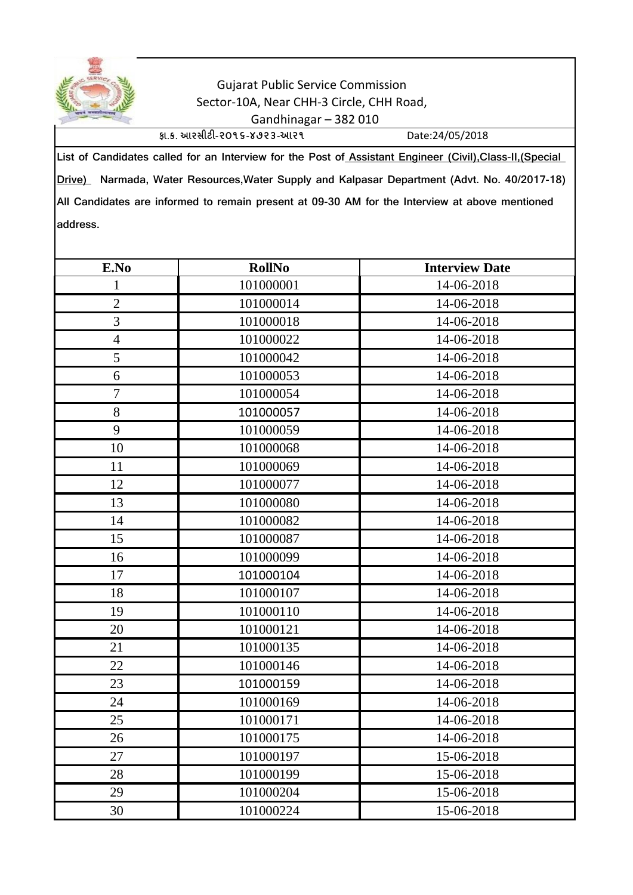

Gujarat Public Service Commission Sector-10A, Near CHH-3 Circle, CHH Road, Gandhinagar – 382 010

**ફા**.**ક્ર**. **આરસીટી**-૨૦૧૬-૪૭૨૩-આર૧ Date:24/05/2018

**List of Candidates called for an Interview for the Post of Assistant Engineer (Civil),Class-II,(Special Drive) Narmada, Water Resources,Water Supply and Kalpasar Department (Advt. No. 40/2017-18) All Candidates are informed to remain present at 09-30 AM for the Interview at above mentioned address.**

| E.No           | <b>RollNo</b> | <b>Interview Date</b> |
|----------------|---------------|-----------------------|
| 1              | 101000001     | 14-06-2018            |
| $\overline{2}$ | 101000014     | 14-06-2018            |
| 3              | 101000018     | 14-06-2018            |
| $\overline{4}$ | 101000022     | 14-06-2018            |
| 5              | 101000042     | 14-06-2018            |
| 6              | 101000053     | 14-06-2018            |
| $\overline{7}$ | 101000054     | 14-06-2018            |
| 8              | 101000057     | 14-06-2018            |
| 9              | 101000059     | 14-06-2018            |
| 10             | 101000068     | 14-06-2018            |
| 11             | 101000069     | 14-06-2018            |
| 12             | 101000077     | 14-06-2018            |
| 13             | 101000080     | 14-06-2018            |
| 14             | 101000082     | 14-06-2018            |
| 15             | 101000087     | 14-06-2018            |
| 16             | 101000099     | 14-06-2018            |
| 17             | 101000104     | 14-06-2018            |
| 18             | 101000107     | 14-06-2018            |
| 19             | 101000110     | 14-06-2018            |
| 20             | 101000121     | 14-06-2018            |
| 21             | 101000135     | 14-06-2018            |
| 22             | 101000146     | 14-06-2018            |
| 23             | 101000159     | 14-06-2018            |
| 24             | 101000169     | 14-06-2018            |
| 25             | 101000171     | 14-06-2018            |
| 26             | 101000175     | 14-06-2018            |
| 27             | 101000197     | 15-06-2018            |
| 28             | 101000199     | 15-06-2018            |
| 29             | 101000204     | 15-06-2018            |
| 30             | 101000224     | 15-06-2018            |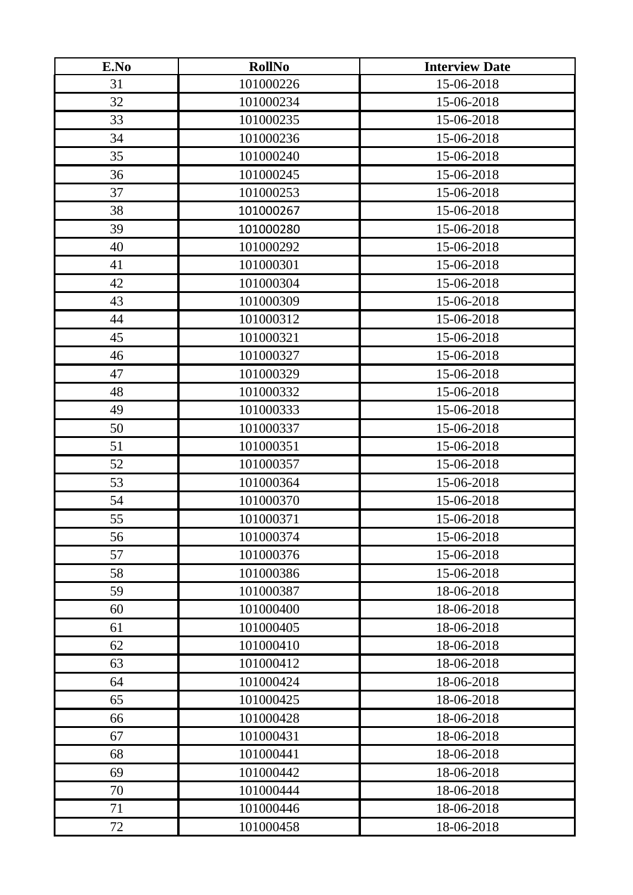| E.No | <b>RollNo</b> | <b>Interview Date</b> |
|------|---------------|-----------------------|
| 31   | 101000226     | 15-06-2018            |
| 32   | 101000234     | 15-06-2018            |
| 33   | 101000235     | 15-06-2018            |
| 34   | 101000236     | 15-06-2018            |
| 35   | 101000240     | 15-06-2018            |
| 36   | 101000245     | 15-06-2018            |
| 37   | 101000253     | 15-06-2018            |
| 38   | 101000267     | 15-06-2018            |
| 39   | 101000280     | 15-06-2018            |
| 40   | 101000292     | 15-06-2018            |
| 41   | 101000301     | 15-06-2018            |
| 42   | 101000304     | 15-06-2018            |
| 43   | 101000309     | 15-06-2018            |
| 44   | 101000312     | 15-06-2018            |
| 45   | 101000321     | 15-06-2018            |
| 46   | 101000327     | 15-06-2018            |
| 47   | 101000329     | 15-06-2018            |
| 48   | 101000332     | 15-06-2018            |
| 49   | 101000333     | 15-06-2018            |
| 50   | 101000337     | 15-06-2018            |
| 51   | 101000351     | 15-06-2018            |
| 52   | 101000357     | 15-06-2018            |
| 53   | 101000364     | 15-06-2018            |
| 54   | 101000370     | 15-06-2018            |
| 55   | 101000371     | 15-06-2018            |
| 56   | 101000374     | 15-06-2018            |
| 57   | 101000376     | 15-06-2018            |
| 58   | 101000386     | 15-06-2018            |
| 59   | 101000387     | 18-06-2018            |
| 60   | 101000400     | 18-06-2018            |
| 61   | 101000405     | 18-06-2018            |
| 62   | 101000410     | 18-06-2018            |
| 63   | 101000412     | 18-06-2018            |
| 64   | 101000424     | 18-06-2018            |
| 65   | 101000425     | 18-06-2018            |
| 66   | 101000428     | 18-06-2018            |
| 67   | 101000431     | 18-06-2018            |
| 68   | 101000441     | 18-06-2018            |
| 69   | 101000442     | 18-06-2018            |
| 70   | 101000444     | 18-06-2018            |
| 71   | 101000446     | 18-06-2018            |
| 72   | 101000458     | 18-06-2018            |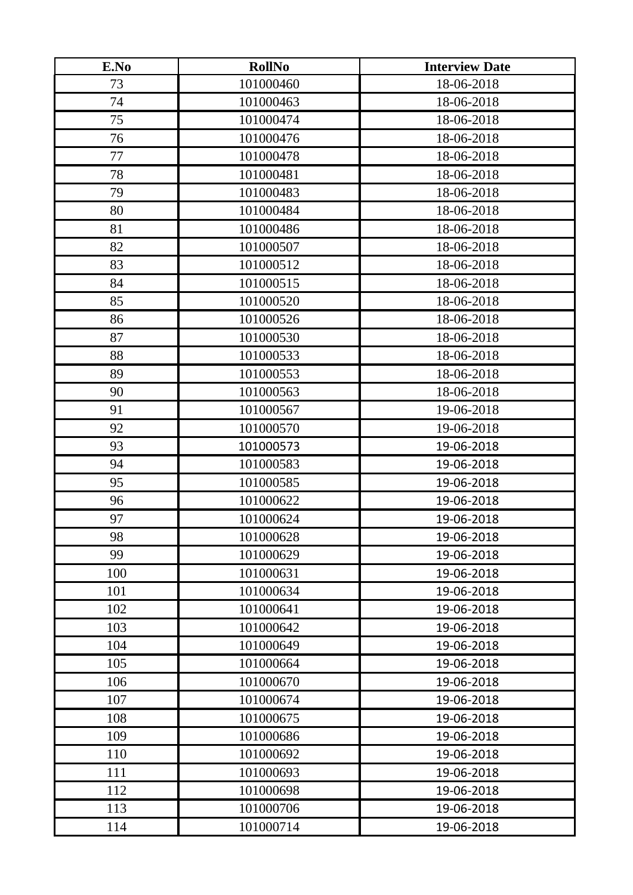| E.No | <b>RollNo</b> | <b>Interview Date</b> |
|------|---------------|-----------------------|
| 73   | 101000460     | 18-06-2018            |
| 74   | 101000463     | 18-06-2018            |
| 75   | 101000474     | 18-06-2018            |
| 76   | 101000476     | 18-06-2018            |
| 77   | 101000478     | 18-06-2018            |
| 78   | 101000481     | 18-06-2018            |
| 79   | 101000483     | 18-06-2018            |
| 80   | 101000484     | 18-06-2018            |
| 81   | 101000486     | 18-06-2018            |
| 82   | 101000507     | 18-06-2018            |
| 83   | 101000512     | 18-06-2018            |
| 84   | 101000515     | 18-06-2018            |
| 85   | 101000520     | 18-06-2018            |
| 86   | 101000526     | 18-06-2018            |
| 87   | 101000530     | 18-06-2018            |
| 88   | 101000533     | 18-06-2018            |
| 89   | 101000553     | 18-06-2018            |
| 90   | 101000563     | 18-06-2018            |
| 91   | 101000567     | 19-06-2018            |
| 92   | 101000570     | 19-06-2018            |
| 93   | 101000573     | 19-06-2018            |
| 94   | 101000583     | 19-06-2018            |
| 95   | 101000585     | 19-06-2018            |
| 96   | 101000622     | 19-06-2018            |
| 97   | 101000624     | 19-06-2018            |
| 98   | 101000628     | 19-06-2018            |
| 99   | 101000629     | 19-06-2018            |
| 100  | 101000631     | 19-06-2018            |
| 101  | 101000634     | 19-06-2018            |
| 102  | 101000641     | 19-06-2018            |
| 103  | 101000642     | 19-06-2018            |
| 104  | 101000649     | 19-06-2018            |
| 105  | 101000664     | 19-06-2018            |
| 106  | 101000670     | 19-06-2018            |
| 107  | 101000674     | 19-06-2018            |
| 108  | 101000675     | 19-06-2018            |
| 109  | 101000686     | 19-06-2018            |
| 110  | 101000692     | 19-06-2018            |
| 111  | 101000693     | 19-06-2018            |
| 112  | 101000698     | 19-06-2018            |
| 113  | 101000706     | 19-06-2018            |
| 114  | 101000714     | 19-06-2018            |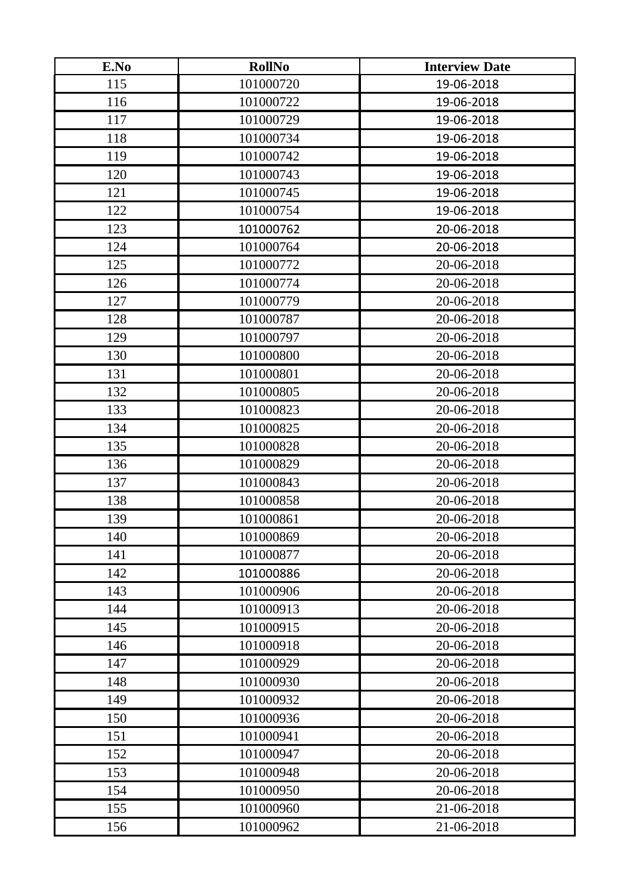| E.No | <b>RollNo</b> | <b>Interview Date</b> |
|------|---------------|-----------------------|
| 115  | 101000720     | 19-06-2018            |
| 116  | 101000722     | 19-06-2018            |
| 117  | 101000729     | 19-06-2018            |
| 118  | 101000734     | 19-06-2018            |
| 119  | 101000742     | 19-06-2018            |
| 120  | 101000743     | 19-06-2018            |
| 121  | 101000745     | 19-06-2018            |
| 122  | 101000754     | 19-06-2018            |
| 123  | 101000762     | 20-06-2018            |
| 124  | 101000764     | 20-06-2018            |
| 125  | 101000772     | 20-06-2018            |
| 126  | 101000774     | 20-06-2018            |
| 127  | 101000779     | 20-06-2018            |
| 128  | 101000787     | 20-06-2018            |
| 129  | 101000797     | 20-06-2018            |
| 130  | 101000800     | 20-06-2018            |
| 131  | 101000801     | 20-06-2018            |
| 132  | 101000805     | 20-06-2018            |
| 133  | 101000823     | 20-06-2018            |
| 134  | 101000825     | 20-06-2018            |
| 135  | 101000828     | 20-06-2018            |
| 136  | 101000829     | 20-06-2018            |
| 137  | 101000843     | 20-06-2018            |
| 138  | 101000858     | 20-06-2018            |
| 139  | 101000861     | 20-06-2018            |
| 140  | 101000869     | 20-06-2018            |
| 141  | 101000877     | 20-06-2018            |
| 142  | 101000886     | 20-06-2018            |
| 143  | 101000906     | 20-06-2018            |
| 144  | 101000913     | 20-06-2018            |
| 145  | 101000915     | 20-06-2018            |
| 146  | 101000918     | 20-06-2018            |
| 147  | 101000929     | 20-06-2018            |
| 148  | 101000930     | 20-06-2018            |
| 149  | 101000932     | 20-06-2018            |
| 150  | 101000936     | 20-06-2018            |
| 151  | 101000941     | 20-06-2018            |
| 152  | 101000947     | 20-06-2018            |
| 153  | 101000948     | 20-06-2018            |
| 154  | 101000950     | 20-06-2018            |
| 155  | 101000960     | 21-06-2018            |
| 156  | 101000962     | 21-06-2018            |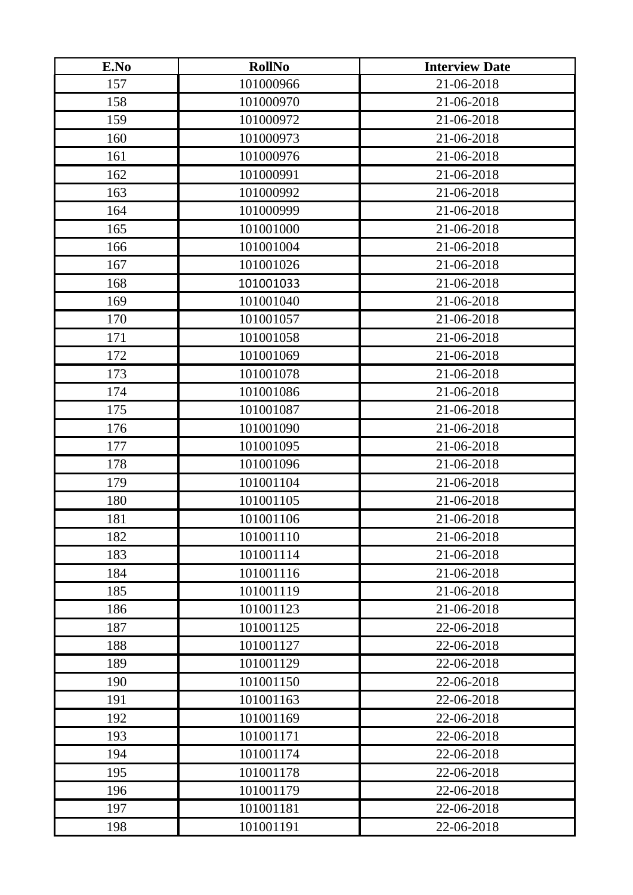| E.No | <b>RollNo</b> | <b>Interview Date</b> |
|------|---------------|-----------------------|
| 157  | 101000966     | 21-06-2018            |
| 158  | 101000970     | 21-06-2018            |
| 159  | 101000972     | 21-06-2018            |
| 160  | 101000973     | 21-06-2018            |
| 161  | 101000976     | 21-06-2018            |
| 162  | 101000991     | 21-06-2018            |
| 163  | 101000992     | 21-06-2018            |
| 164  | 101000999     | 21-06-2018            |
| 165  | 101001000     | 21-06-2018            |
| 166  | 101001004     | 21-06-2018            |
| 167  | 101001026     | 21-06-2018            |
| 168  | 101001033     | 21-06-2018            |
| 169  | 101001040     | 21-06-2018            |
| 170  | 101001057     | 21-06-2018            |
| 171  | 101001058     | 21-06-2018            |
| 172  | 101001069     | 21-06-2018            |
| 173  | 101001078     | 21-06-2018            |
| 174  | 101001086     | 21-06-2018            |
| 175  | 101001087     | 21-06-2018            |
| 176  | 101001090     | 21-06-2018            |
| 177  | 101001095     | 21-06-2018            |
| 178  | 101001096     | 21-06-2018            |
| 179  | 101001104     | 21-06-2018            |
| 180  | 101001105     | 21-06-2018            |
| 181  | 101001106     | 21-06-2018            |
| 182  | 101001110     | 21-06-2018            |
| 183  | 101001114     | 21-06-2018            |
| 184  | 101001116     | 21-06-2018            |
| 185  | 101001119     | 21-06-2018            |
| 186  | 101001123     | 21-06-2018            |
| 187  | 101001125     | 22-06-2018            |
| 188  | 101001127     | 22-06-2018            |
| 189  | 101001129     | 22-06-2018            |
| 190  | 101001150     | 22-06-2018            |
| 191  | 101001163     | 22-06-2018            |
| 192  | 101001169     | 22-06-2018            |
| 193  | 101001171     | 22-06-2018            |
| 194  | 101001174     | 22-06-2018            |
| 195  | 101001178     | 22-06-2018            |
| 196  | 101001179     | 22-06-2018            |
| 197  | 101001181     | 22-06-2018            |
| 198  | 101001191     | 22-06-2018            |